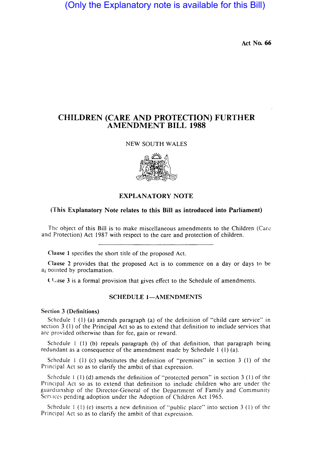# (Only the Explanatory note is available for this Bill)

Act No. 66

## CHILDREN (CARE AND PROTECTION) FURTHER AMENDMENT BILL 1988

## NEW SOUTH WALES



## EXPLANATORY NOTE

### (This Explanatory Note relates to this Bill as introduced into Parliament)

The object of this Bill is to make miscellaneous amendments to the Children (Care and Protection) Act 1987 with respect to the care and protection of children.

Clause 1 specifies the short title of the proposed Act.

Clause 2 provides that the proposed Act is to commence on a day or days to be ai oointed by proclamation.

**Clause 3** is a formal provision that gives effect to the Schedule of amendments.

## SCHEDULE 1-AMENDMENTS

## Section 3 (Definitions)

Schedule I (I) (a) amends paragraph (a) of the definition of "child care service" in section 3 (I) of the Principal Act so as to extend that definition to include services that are provided otherwise than for fee, gain or reward.

Schedule  $1$  (1) (b) repeals paragraph (b) of that definition, that paragraph being redundant as a consequence of the amendment made by Schedule I (l) (a).

Schedule 1 (1) (c) substitutes the definition of "premises" in section 3 (1) of the Principal Act so as to clarify the ambit of that expression.

Schedule 1 (1) (d) amends the definition of "protected person" in section 3 (1) of the Principal Act so as to extend that definition to include children who are under the guardianship of the Director-General of the Department of Family and Community Services pending adoption under the Adoption of Children Act 1965.

Schedule I (I) (e) inserts a new definition of "public place" into section 3 (I) of the Principal Act so as to clarify the ambit of that expression.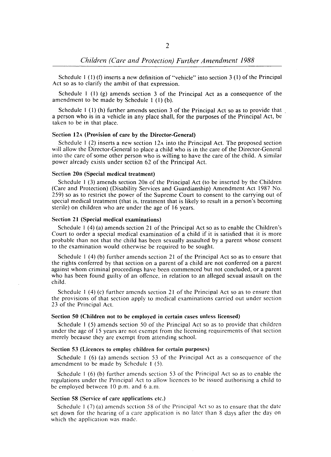Schedule  $1(1)$  (f) inserts a new definition of "vehicle" into section 3 (1) of the Principal Act so as to clarify the ambit of that expression.

Schedule I (I) (g) amends section 3 of the Principal Act as a consequence of the amendment to be made by Schedule I (I) (b).

Schedule  $1$  (1) (h) further amends section 3 of the Principal Act so as to provide that a person who is in a vehicle in any place shall, for the purposes of the Principal Act, be taken to be in that place.

## Section 12A (Provision of care by the Director-General)

Schedule  $1(2)$  inserts a new section  $12A$  into the Principal Act. The proposed section will allow the Director-General to place a child who is in the care of the Director-General into the care of some other person who is willing to have the care of the child. A similar power already exists under section 62 of the Principal Act.

#### Section 20B (Special medical treatment)

Schedule I (3) amends section 20B of the Principal Act (to be inserted by the Children (Care and Protection) (Disability Services and Guardianship) Amendment Act 1987 No. 259) so as to restrict the power of the Supreme Court to consent to the carrying out of special medical treatment (that is. treatment that is likely to result in a person's becoming sterile) on children who are under the age of 16 years.

#### Section 21 (Special medical examinations)

Schedule 1 (4) (a) amends section 21 of the Principal Act so as to enable the Children's Court to order a special medical examination of a child if it is satisfied that it is more probable than not that the child has been sexually assaulted by a parent whose consent to the examination would otherwise be required to be sought.

Schedule I (4) (b) further amends section 21 of the Principal Act so as to ensure that the rights conferred by that section on a parent of a child arc not conferred on a parent against whom criminal proceedings have been commenced but not concluded, or a parent who has been found guilty of an offence. in relation to an alleged sexual assault on the child.

Schedule I (4) (c) further amends section 21 of the Principal Act so as to ensure that the provisions of that section apply to medical examinations carried out under section 23 of the Principal Act.

#### Section 50 (Children not to be employed in certain cases unless licensed)

Schedule I (5) amends section 50 of the Principal Act so as to provide that children under the age of 15 years are not exempt from the licensing requirements of that section merely because they are exempt from attending school.

#### Section 53 (Licences to employ children for certain purposes)

Schedule I (6) (a) amends section 53 of the Principal Act as a consequence of the amendment to be made by Schedule I (5).

Schedule I (6) (b) further amends section 53 of the Principal Act so as to enable the regulations under the Principal Act to allow licences to be issued authorising a child to be employed between 10 p.m. and 6 a.m.

### Section 58 (Service of care applications etc.)

Schedule I (7) (a) amends section 58 of the Principal Act so as to ensure that the date set down for the hearing of a care application is no later than 8 days after the day on which the application was made.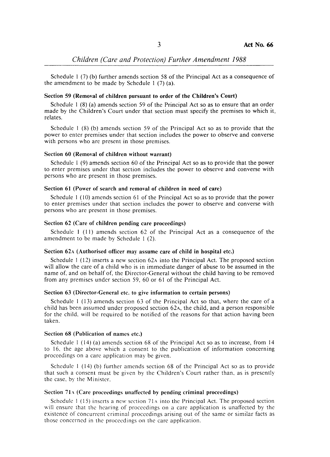Schedule I (7) (b) further amends section 58 of the Principal Act as a consequence of the amendment to be made by Schedule I (7) (a).

#### Section 59 (Removal of children pursuant to order of the Children's Court)

Schedule 1 (8) (a) amends section 59 of the Principal Act so as to ensure that an order made by the Children's Court under that section must specify the premises to which it. relates.

Schedule 1 (8) (b) amends section 59 of the Principal Act so as to provide that the power to enter premises under that section includes the power to observe and converse with persons who are present in those premises.

#### Section 60 (Removal of children without warrant)

Schedule 1 (9) amends section 60 of the Principal Act so as to provide that the power to enter premises under that section includes the power to observe and converse with persons who are present in those premises.

## Section 61 (Power of search and removal of children in need of care)

Schedule 1 (10) amends section 61 of the Principal Act so as to provide that the power to enter premises under that section includes the power to observe and converse with persons who arc present in those premises.

## Section 62 (Care of children pending care proceedings)

Schedule I (11) amends section 62 of the Principal Act as a consequence of the amendment to be made by Schedule I (2).

#### Section 62A (Authorised officer may assume care of child in hospital etc.)

Schedule  $1(12)$  inserts a new section 62A into the Principal Act. The proposed section will allow the care of a child who is in immediate danger of abuse to be assumed in the name of, and on behalf of, the Director-General without the child having to be removed from any premises under section 59, 60 or 61 of the Principal Act.

#### Section 63 (Director-General etc. to give information to certain persons)

Schedule 1 (13) amends section 63 of the Principal Act so that, where the care of a child has been assumed under proposed section 62A, the child, and a person responsible for the child. will be required to be notified of the reasons for that action having been taken.

#### Section 68 (Publication of names etc.)

Schedule  $1$  (14) (a) amends section 68 of the Principal Act so as to increase, from 14 to 16. the age above which a consent to the publication of information concerning proceedings on a care application may be given.

Schedule 1 (14) (b) further amends section 68 of the Principal Act so as to provide that such a consent must be given by the Children's Court rather than, as is presently the case, by the Minister.

### Section 71 $\Lambda$  (Care proceedings unaffected by pending criminal proceedings)

Schedule  $1(15)$  inserts a new section 71 $\lambda$  into the Principal Act. The proposed section will ensure that the hearing of proceedings on a care application is unaffected by the existence of concurrent criminal proceedings arising out of the same or similar facts as those concerned in the proceedings on the care application.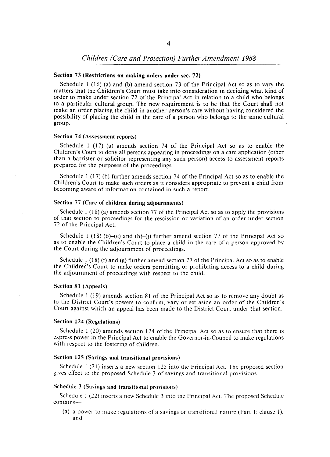## Section 73 (Restrictions on making orders under sec. 72)

Schedule I (16) (a) and (b) amend section 73 of the Principal Act so as to vary the matters that the Children's Court must take into consideration in deciding what kind of order to make under section 72 of the Principal Act in relation to a child who belongs to a particular cultural group. The new requirement is to be that the Court shall not make an order placing the child in another person's care without having considered the possibility of placing the child in the care of a person who belongs to the same cultural group.

### Section 74 (Assessment reports)

Schedule I (17) (a) amends section 74 of the Principal Act so as to enable the Children's Court to deny all persons appearing in proceedings on a care application (other than a barrister or solicitor representing any such person) access to assessment reports prepared for the purposes of the proceedings.

Schedule I (17) (b) further amends section 74 of the Principal Act so as to enable the Children's Court to make such orders as it considers appropriate to prevent a child from becoming aware of information contained in such a report.

#### Section 77 (Care of children during adjournments)

Schedule I (18) (a) amends section 77 of the Principal Act so as to apply the provisions of that section to proceedings for the rescission or variation of an order under section 72 of the Principal Act.

Schedule 1 (18) (b)-(e) and (h)-(i) further amend section 77 of the Principal Act so as to enable the Children's Court to place a child in the care of a person approved by the Court during the adjournment of proceedings.

Schedule 1 (18) (f) and (g) further amend section 77 of the Principal Act so as to enable the Children's Court to make orders permitting or prohibiting access to a child during the adjournment of proceedings with respect to the child.

#### Section 81 (Appeals)

Schedule I (19) amends section 81 of the Principal Act so as to remove any doubt as to the District Court's powers to confirm, vary or set aside an order of the Children's Court against which an appeal has been made to the District Court under that section.

## Section 124 (Regulations)

Schedule 1 (20) amends section 124 of the Principal Act so as to ensure that there is express power in the Principal Act to enable the Governor-in-Council to make regulations with respect to the fostering of children.

## Section 125 (Savings and transitional provisions)

Schedule I (21) inserts a new section 125 into the Principal Act. The proposed section gives effect to the proposed Schedule 3 of savings and transitional provisions.

### Schedule 3 (Savings and transitional provisions)

Schedule 1 (22) inserts a new Schedule 3 into the Principal Act. The proposed Schedule contains-

(a) a power to make regulations of a savings or transitional nature (Part I: clause I); and